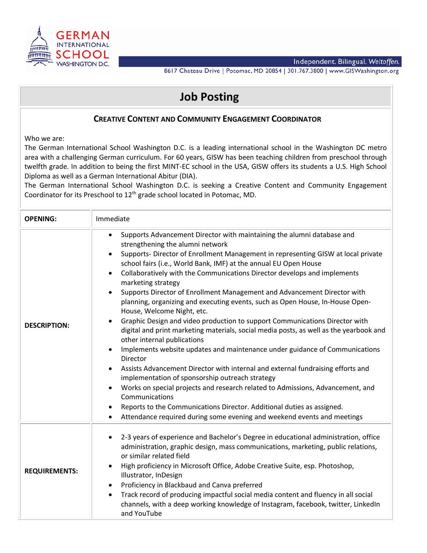

8617 Chateau Drive | Potomac, MD 20854 | 301.767.3800 | www.GISWashington.org

## **Job Posting**

## **CREATIVE CONTENT AND COMMUNITY ENGAGEMENT COORDINATOR**

Who we are:

The German International School Washington D.C. is a leading international school in the Washington DC metro area with a challenging German curriculum. For 60 years, GISW has been teaching children from preschool through twelfth grade. In addition to being the first MINT-EC school in the USA, GISW offers its students a U.S. High School Diploma as well as a German International Abitur (DIA).

The German International School Washington D.C. is seeking a Creative Content and Community Engagement Coordinator for its Preschool to 12th grade school located in Potomac, MD.

| <b>OPENING:</b>      | Immediate                                                                                                                                                                                                                                                                                                                                                                                                                                                                                                                                                                                                                                                                                                                                                                                                                                                                                                                                                                                                                                                                                                                                                                                                                                                                                                                                        |
|----------------------|--------------------------------------------------------------------------------------------------------------------------------------------------------------------------------------------------------------------------------------------------------------------------------------------------------------------------------------------------------------------------------------------------------------------------------------------------------------------------------------------------------------------------------------------------------------------------------------------------------------------------------------------------------------------------------------------------------------------------------------------------------------------------------------------------------------------------------------------------------------------------------------------------------------------------------------------------------------------------------------------------------------------------------------------------------------------------------------------------------------------------------------------------------------------------------------------------------------------------------------------------------------------------------------------------------------------------------------------------|
| <b>DESCRIPTION:</b>  | Supports Advancement Director with maintaining the alumni database and<br>$\bullet$<br>strengthening the alumni network<br>Supports- Director of Enrollment Management in representing GISW at local private<br>$\bullet$<br>school fairs (i.e., World Bank, IMF) at the annual EU Open House<br>Collaboratively with the Communications Director develops and implements<br>$\bullet$<br>marketing strategy<br>Supports Director of Enrollment Management and Advancement Director with<br>$\bullet$<br>planning, organizing and executing events, such as Open House, In-House Open-<br>House, Welcome Night, etc.<br>Graphic Design and video production to support Communications Director with<br>digital and print marketing materials, social media posts, as well as the yearbook and<br>other internal publications<br>Implements website updates and maintenance under guidance of Communications<br>$\bullet$<br>Director<br>Assists Advancement Director with internal and external fundraising efforts and<br>implementation of sponsorship outreach strategy<br>Works on special projects and research related to Admissions, Advancement, and<br>Communications<br>Reports to the Communications Director. Additional duties as assigned.<br>$\bullet$<br>Attendance required during some evening and weekend events and meetings |
| <b>REQUIREMENTS:</b> | 2-3 years of experience and Bachelor's Degree in educational administration, office<br>$\bullet$<br>administration, graphic design, mass communications, marketing, public relations,<br>or similar related field<br>High proficiency in Microsoft Office, Adobe Creative Suite, esp. Photoshop,<br>Illustrator, InDesign<br>Proficiency in Blackbaud and Canva preferred<br>Track record of producing impactful social media content and fluency in all social<br>$\bullet$<br>channels, with a deep working knowledge of Instagram, facebook, twitter, LinkedIn<br>and YouTube                                                                                                                                                                                                                                                                                                                                                                                                                                                                                                                                                                                                                                                                                                                                                                 |